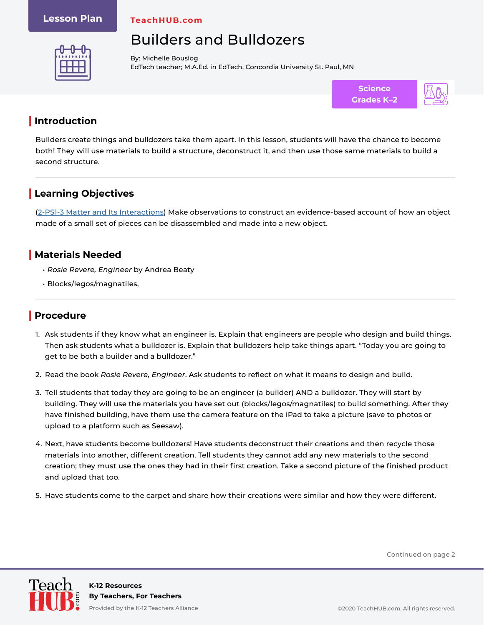#### **Lesson Plan**

**TeachHUB.com**

# Builders and Bulldozers



By: Michelle Bouslog EdTech teacher; M.A.Ed. in EdTech, Concordia University St. Paul, MN



## **| Introduction**

Builders create things and bulldozers take them apart. In this lesson, students will have the chance to become both! They will use materials to build a structure, deconstruct it, and then use those same materials to build a second structure.

# **| Learning Objectives**

[\(2-PS1-3 Matter and Its Interactions](https://www.nextgenscience.org/pe/2-ps1-3-matter-and-its-interactions)) Make observations to construct an evidence-based account of how an object made of a small set of pieces can be disassembled and made into a new object.

### **| Materials Needed**

- *• Rosie Revere, Engineer* by Andrea Beaty
- Blocks/legos/magnatiles,

## **| Procedure**

- 1. Ask students if they know what an engineer is. Explain that engineers are people who design and build things. Then ask students what a bulldozer is. Explain that bulldozers help take things apart. "Today you are going to get to be both a builder and a bulldozer."
- 2. Read the book *Rosie Revere, Engineer*. Ask students to reflect on what it means to design and build.
- 3. Tell students that today they are going to be an engineer (a builder) AND a bulldozer. They will start by building. They will use the materials you have set out (blocks/legos/magnatiles) to build something. After they have finished building, have them use the camera feature on the iPad to take a picture (save to photos or upload to a platform such as Seesaw).
- 4. Next, have students become bulldozers! Have students deconstruct their creations and then recycle those materials into another, different creation. Tell students they cannot add any new materials to the second creation; they must use the ones they had in their first creation. Take a second picture of the finished product and upload that too.
- 5. Have students come to the carpet and share how their creations were similar and how they were different.

Continued on page 2